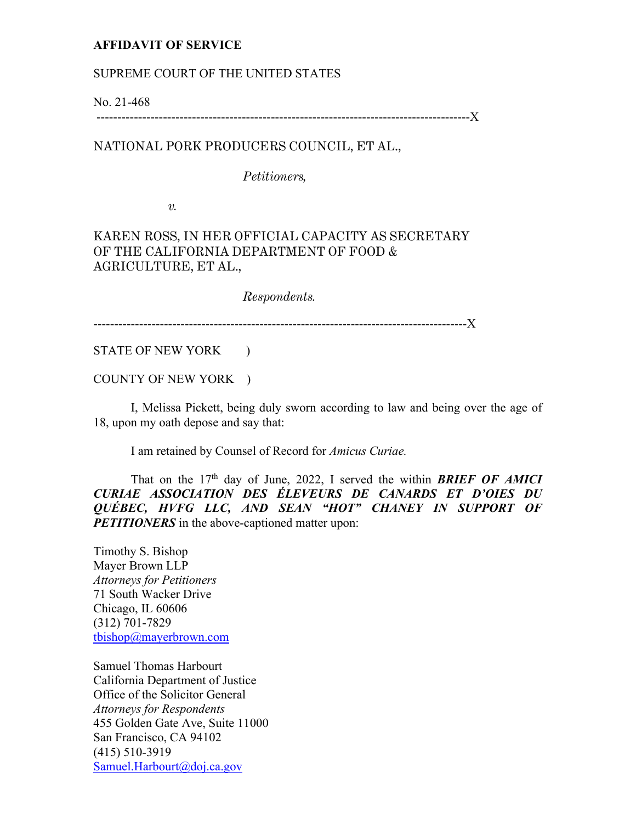## **AFFIDAVIT OF SERVICE**

#### SUPREME COURT OF THE UNITED STATES

No. 21-468 ------------------------------------------------------------------------------------------X

## NATIONAL PORK PRODUCERS COUNCIL, ET AL.,

#### *Petitioners,*

*v.* 

# KAREN ROSS, IN HER OFFICIAL CAPACITY AS SECRETARY OF THE CALIFORNIA DEPARTMENT OF FOOD & AGRICULTURE, ET AL.,

*Respondents.*

------------------------------------------------------------------------------------------X

STATE OF NEW YORK )

COUNTY OF NEW YORK )

I, Melissa Pickett, being duly sworn according to law and being over the age of 18, upon my oath depose and say that:

I am retained by Counsel of Record for *Amicus Curiae.*

That on the  $17<sup>th</sup>$  day of June, 2022, I served the within *BRIEF OF AMICI CURIAE ASSOCIATION DES ÉLEVEURS DE CANARDS ET D'OIES DU QUÉBEC, HVFG LLC, AND SEAN "HOT" CHANEY IN SUPPORT OF PETITIONERS* in the above-captioned matter upon:

Timothy S. Bishop Mayer Brown LLP *Attorneys for Petitioners*  71 South Wacker Drive Chicago, IL 60606 (312) 701-7829 tbishop@mayerbrown.com

Samuel Thomas Harbourt California Department of Justice Office of the Solicitor General *Attorneys for Respondents*  455 Golden Gate Ave, Suite 11000 San Francisco, CA 94102 (415) 510-3919 Samuel.Harbourt@doj.ca.gov